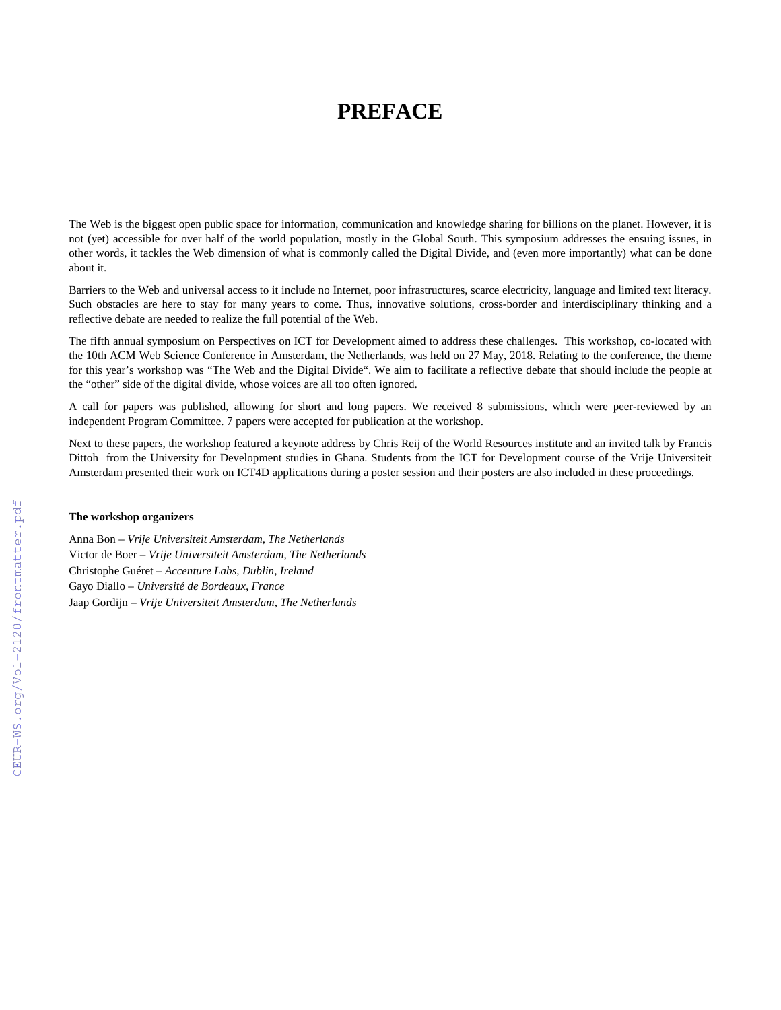## **PREFACE**

The Web is the biggest open public space for information, communication and knowledge sharing for billions on the planet. However, it is not (yet) accessible for over half of the world population, mostly in the Global South. This symposium addresses the ensuing issues, in other words, it tackles the Web dimension of what is commonly called the Digital Divide, and (even more importantly) what can be done about it.

Barriers to the Web and universal access to it include no Internet, poor infrastructures, scarce electricity, language and limited text literacy. Such obstacles are here to stay for many years to come. Thus, innovative solutions, cross-border and interdisciplinary thinking and a reflective debate are needed to realize the full potential of the Web.

The fifth annual symposium on Perspectives on ICT for Development aimed to address these challenges. This workshop, co-located with the 10th ACM Web Science Conference in Amsterdam, the Netherlands, was held on 27 May, 2018. Relating to the conference, the theme for this year's workshop was "The Web and the Digital Divide". We aim to facilitate a reflective debate that should include the people at the "other" side of the digital divide, whose voices are all too often ignored.

A call for papers was published, allowing for short and long papers. We received 8 submissions, which were peer-reviewed by an independent Program Committee. 7 papers were accepted for publication at the workshop.

Next to these papers, the workshop featured a keynote address by Chris Reij of the World Resources institute and an invited talk by Francis Dittoh from the University for Development studies in Ghana. Students from the ICT for Development course of the Vrije Universiteit Amsterdam presented their work on ICT4D applications during a poster session and their posters are also included in these proceedings.

## **The workshop organizers**

Anna Bon – *Vrije Universiteit Amsterdam, The Netherlands* Victor de Boer – *Vrije Universiteit Amsterdam, The Netherlands* Christophe Guéret – *Accenture Labs, Dublin, Ireland* Gayo Diallo – *Université de Bordeaux, France*  Jaap Gordijn – *Vrije Universiteit Amsterdam, The Netherlands*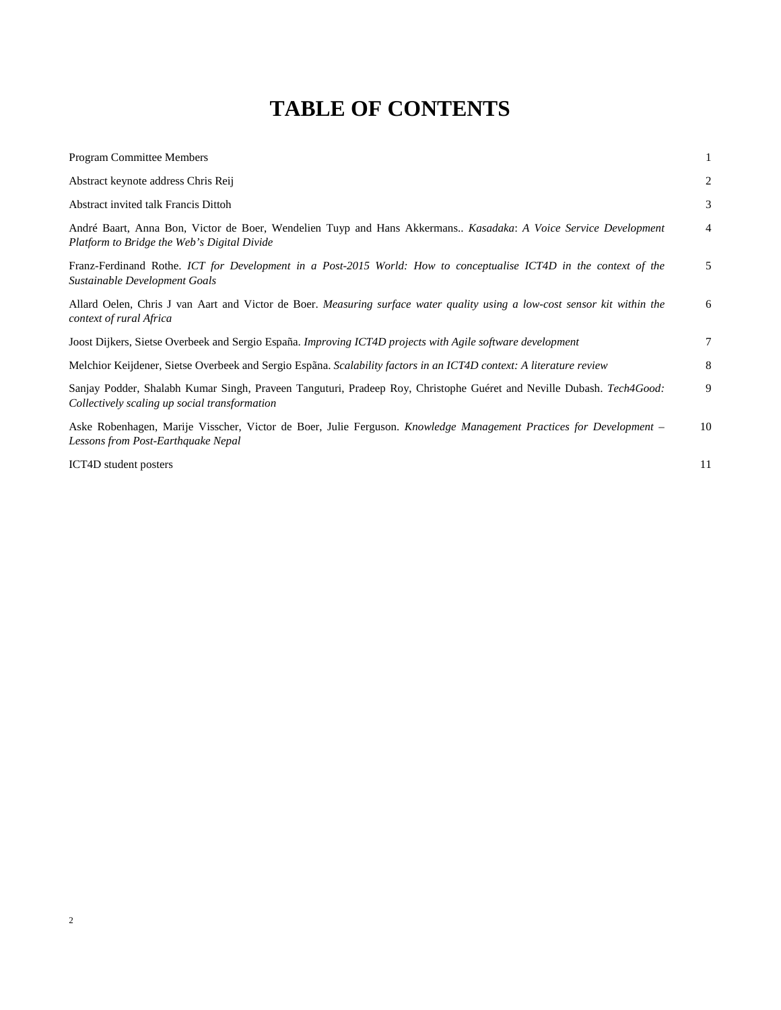## **TABLE OF CONTENTS**

| <b>Program Committee Members</b>                                                                                                                                      | 1  |
|-----------------------------------------------------------------------------------------------------------------------------------------------------------------------|----|
| Abstract keynote address Chris Reij                                                                                                                                   | 2  |
| Abstract invited talk Francis Dittoh                                                                                                                                  | 3  |
| André Baart, Anna Bon, Victor de Boer, Wendelien Tuyp and Hans Akkermans Kasadaka: A Voice Service Development<br>Platform to Bridge the Web's Digital Divide         | 4  |
| Franz-Ferdinand Rothe. ICT for Development in a Post-2015 World: How to conceptualise ICT4D in the context of the<br>Sustainable Development Goals                    | 5  |
| Allard Oelen, Chris J van Aart and Victor de Boer. Measuring surface water quality using a low-cost sensor kit within the<br>context of rural Africa                  | 6  |
| Joost Dijkers, Sietse Overbeek and Sergio España. Improving ICT4D projects with Agile software development                                                            | 7  |
| Melchior Keijdener, Sietse Overbeek and Sergio Espãna. Scalability factors in an ICT4D context: A literature review                                                   | 8  |
| Sanjay Podder, Shalabh Kumar Singh, Praveen Tanguturi, Pradeep Roy, Christophe Guéret and Neville Dubash. Tech4Good:<br>Collectively scaling up social transformation | 9  |
| Aske Robenhagen, Marije Visscher, Victor de Boer, Julie Ferguson. Knowledge Management Practices for Development –<br>Lessons from Post-Earthquake Nepal              | 10 |
| ICT4D student posters                                                                                                                                                 | 11 |